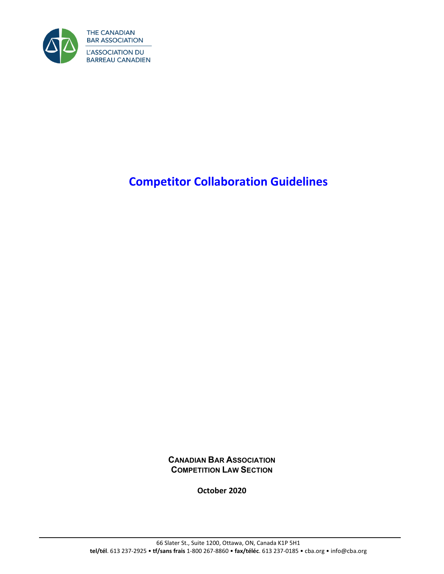

# **Competitor Collaboration Guidelines**

**CANADIAN BAR ASSOCIATION COMPETITION LAW SECTION**

**October 2020**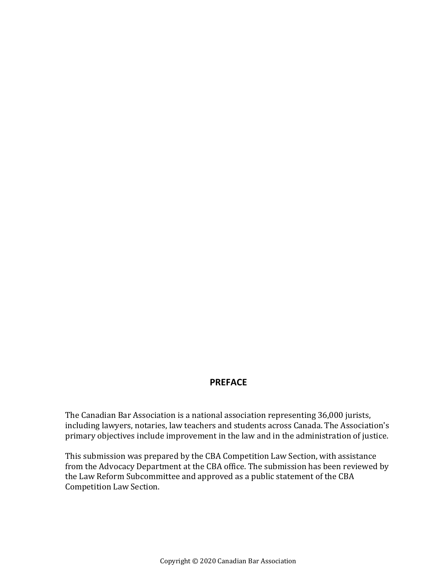### **PREFACE**

The Canadian Bar Association is a national association representing 36,000 jurists, including lawyers, notaries, law teachers and students across Canada. The Association's primary objectives include improvement in the law and in the administration of justice.

This submission was prepared by the CBA Competition Law Section, with assistance from the Advocacy Department at the CBA office. The submission has been reviewed by the Law Reform Subcommittee and approved as a public statement of the CBA Competition Law Section.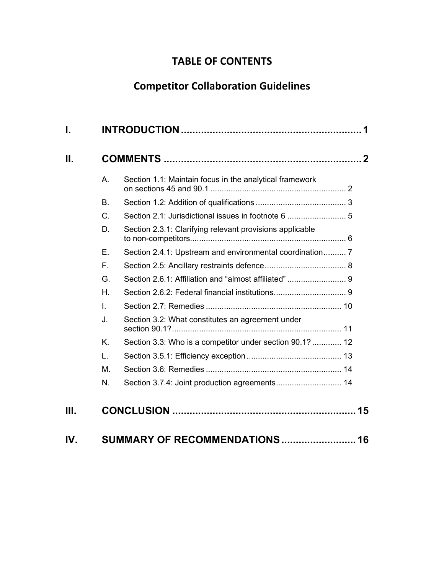# **TABLE OF CONTENTS**

# **Competitor Collaboration Guidelines**

| А.        | Section 1.1: Maintain focus in the analytical framework  |  |
|-----------|----------------------------------------------------------|--|
| <b>B.</b> |                                                          |  |
| C.        |                                                          |  |
| D.        | Section 2.3.1: Clarifying relevant provisions applicable |  |
| F.        | Section 2.4.1: Upstream and environmental coordination 7 |  |
| F.        |                                                          |  |
| G.        | Section 2.6.1: Affiliation and "almost affiliated" 9     |  |
| Η.        |                                                          |  |
| Ī.        |                                                          |  |
| J.        | Section 3.2: What constitutes an agreement under         |  |
| K.        | Section 3.3: Who is a competitor under section 90.1?  12 |  |
| L.        |                                                          |  |
| М.        |                                                          |  |
| N.        | Section 3.7.4: Joint production agreements 14            |  |
|           |                                                          |  |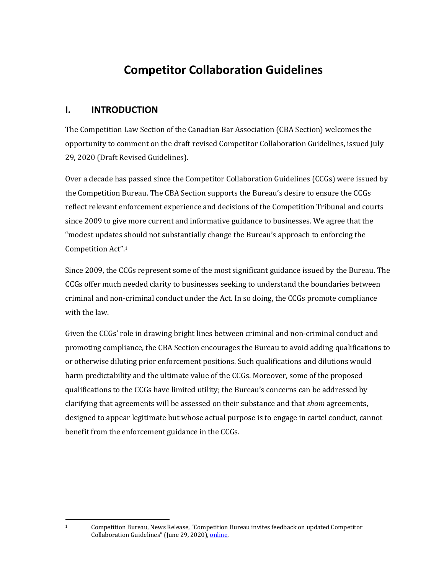# **Competitor Collaboration Guidelines**

## <span id="page-4-0"></span>**I. INTRODUCTION**

The Competition Law Section of the Canadian Bar Association (CBA Section) welcomes the opportunity to comment on the draft revised Competitor Collaboration Guidelines, issued July 29, 2020 (Draft Revised Guidelines).

Over a decade has passed since the Competitor Collaboration Guidelines (CCGs) were issued by the Competition Bureau. The CBA Section supports the Bureau's desire to ensure the CCGs reflect relevant enforcement experience and decisions of the Competition Tribunal and courts since 2009 to give more current and informative guidance to businesses. We agree that the "modest updates should not substantially change the Bureau's approach to enforcing the Competition Act". 1

Since 2009, the CCGs represent some of the most significant guidance issued by the Bureau. The CCGs offer much needed clarity to businesses seeking to understand the boundaries between criminal and non-criminal conduct under the Act. In so doing, the CCGs promote compliance with the law.

Given the CCGs' role in drawing bright lines between criminal and non-criminal conduct and promoting compliance, the CBA Section encourages the Bureau to avoid adding qualifications to or otherwise diluting prior enforcement positions. Such qualifications and dilutions would harm predictability and the ultimate value of the CCGs. Moreover, some of the proposed qualifications to the CCGs have limited utility; the Bureau's concerns can be addressed by clarifying that agreements will be assessed on their substance and that *sham* agreements, designed to appear legitimate but whose actual purpose is to engage in cartel conduct, cannot benefit from the enforcement guidance in the CCGs.

<sup>1</sup> Competition Bureau, News Release, "Competition Bureau invites feedback on updated Competitor Collaboration Guidelines" (June 29, 2020), [online.](https://www.canada.ca/en/competition-bureau/news/2020/07/competition-bureau-invites-feedback-on-updated-competitor-collaboration-guidelines.html)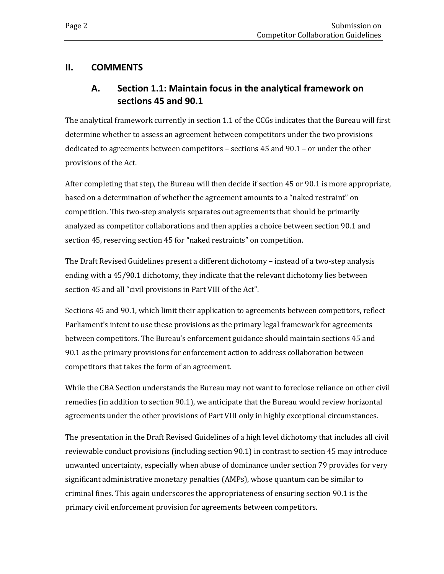## <span id="page-5-1"></span><span id="page-5-0"></span>**II. COMMENTS**

# **A. Section 1.1: Maintain focus in the analytical framework on sections 45 and 90.1**

The analytical framework currently in section 1.1 of the CCGs indicates that the Bureau will first determine whether to assess an agreement between competitors under the two provisions dedicated to agreements between competitors – sections 45 and 90.1 – or under the other provisions of the Act.

After completing that step, the Bureau will then decide if section 45 or 90.1 is more appropriate, based on a determination of whether the agreement amounts to a "naked restraint" on competition. This two-step analysis separates out agreements that should be primarily analyzed as competitor collaborations and then applies a choice between section 90.1 and section 45, reserving section 45 for "naked restraints" on competition.

The Draft Revised Guidelines present a different dichotomy – instead of a two-step analysis ending with a 45/90.1 dichotomy, they indicate that the relevant dichotomy lies between section 45 and all "civil provisions in Part VIII of the Act".

Sections 45 and 90.1, which limit their application to agreements between competitors, reflect Parliament's intent to use these provisions as the primary legal framework for agreements between competitors. The Bureau's enforcement guidance should maintain sections 45 and 90.1 as the primary provisions for enforcement action to address collaboration between competitors that takes the form of an agreement.

While the CBA Section understands the Bureau may not want to foreclose reliance on other civil remedies (in addition to section 90.1), we anticipate that the Bureau would review horizontal agreements under the other provisions of Part VIII only in highly exceptional circumstances.

The presentation in the Draft Revised Guidelines of a high level dichotomy that includes all civil reviewable conduct provisions (including section 90.1) in contrast to section 45 may introduce unwanted uncertainty, especially when abuse of dominance under section 79 provides for very significant administrative monetary penalties (AMPs), whose quantum can be similar to criminal fines. This again underscores the appropriateness of ensuring section 90.1 is the primary civil enforcement provision for agreements between competitors.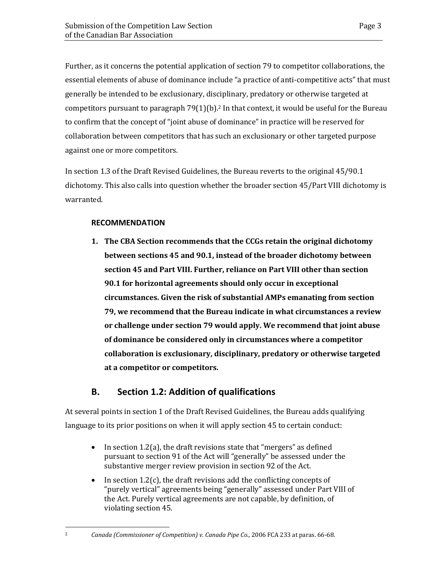Further, as it concerns the potential application of section 79 to competitor collaborations, the essential elements of abuse of dominance include "a practice of anti-competitive acts" that must generally be intended to be exclusionary, disciplinary, predatory or otherwise targeted at competitors pursuant to paragraph  $79(1)(b)$ .<sup>2</sup> In that context, it would be useful for the Bureau to confirm that the concept of "joint abuse of dominance" in practice will be reserved for collaboration between competitors that has such an exclusionary or other targeted purpose against one or more competitors.

In section 1.3 of the Draft Revised Guidelines, the Bureau reverts to the original 45/90.1 dichotomy. This also calls into question whether the broader section 45/Part VIII dichotomy is warranted.

### **RECOMMENDATION**

**1. The CBA Section recommends that the CCGs retain the original dichotomy between sections 45 and 90.1, instead of the broader dichotomy between section 45 and Part VIII. Further, reliance on Part VIII other than section 90.1 for horizontal agreements should only occur in exceptional circumstances. Given the risk of substantial AMPs emanating from section 79, we recommend that the Bureau indicate in what circumstances a review or challenge under section 79 would apply. We recommend that joint abuse of dominance be considered only in circumstances where a competitor collaboration is exclusionary, disciplinary, predatory or otherwise targeted at a competitor or competitors.** 

## **B. Section 1.2: Addition of qualifications**

<span id="page-6-0"></span>At several points in section 1 of the Draft Revised Guidelines, the Bureau adds qualifying language to its prior positions on when it will apply section 45 to certain conduct:

- In section 1.2(a), the draft revisions state that "mergers" as defined pursuant to section 91 of the Act will "generally" be assessed under the substantive merger review provision in section 92 of the Act.
- In section  $1.2(c)$ , the draft revisions add the conflicting concepts of "purely vertical" agreements being "generally" assessed under Part VIII of the Act. Purely vertical agreements are not capable, by definition, of violating section 45.

<sup>2</sup> *Canada (Commissioner of Competition) v. Canada Pipe Co.,* 2006 FCA 233 at paras. 66-68.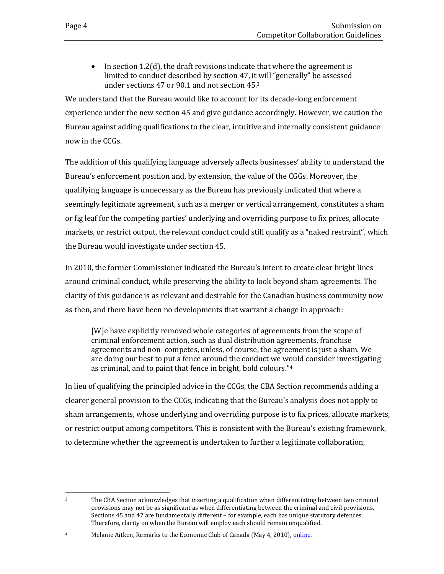• In section 1.2(d), the draft revisions indicate that where the agreement is limited to conduct described by section 47, it will "generally" be assessed under sections 47 or 90.1 and not section 45.<sup>3</sup>

We understand that the Bureau would like to account for its decade-long enforcement experience under the new section 45 and give guidance accordingly. However, we caution the Bureau against adding qualifications to the clear, intuitive and internally consistent guidance now in the CCGs.

The addition of this qualifying language adversely affects businesses' ability to understand the Bureau's enforcement position and, by extension, the value of the CGGs. Moreover, the qualifying language is unnecessary as the Bureau has previously indicated that where a seemingly legitimate agreement, such as a merger or vertical arrangement, constitutes a sham or fig leaf for the competing parties' underlying and overriding purpose to fix prices, allocate markets, or restrict output, the relevant conduct could still qualify as a "naked restraint", which the Bureau would investigate under section 45.

In 2010, the former Commissioner indicated the Bureau's intent to create clear bright lines around criminal conduct, while preserving the ability to look beyond sham agreements. The clarity of this guidance is as relevant and desirable for the Canadian business community now as then, and there have been no developments that warrant a change in approach:

[W]e have explicitly removed whole categories of agreements from the scope of criminal enforcement action, such as dual distribution agreements, franchise agreements and non–competes, unless, of course, the agreement is just a sham. We are doing our best to put a fence around the conduct we would consider investigating as criminal, and to paint that fence in bright, bold colours."<sup>4</sup>

In lieu of qualifying the principled advice in the CCGs, the CBA Section recommends adding a clearer general provision to the CCGs, indicating that the Bureau's analysis does not apply to sham arrangements, whose underlying and overriding purpose is to fix prices, allocate markets, or restrict output among competitors. This is consistent with the Bureau's existing framework, to determine whether the agreement is undertaken to further a legitimate collaboration,

<sup>3</sup> The CBA Section acknowledges that inserting a qualification when differentiating between two criminal provisions may not be as significant as when differentiating between the criminal and civil provisions. Sections 45 and 47 are fundamentally different – for example, each has unique statutory defences. Therefore, clarity on when the Bureau will employ each should remain unqualified.

<sup>&</sup>lt;sup>4</sup> Melanie Aitken, Remarks to the Economic Club of Canada (May 4, 2010)[, online.](https://web.archive.org/web/20150219152926/http:/www.competitionbureau.gc.ca/eic/site/cb-bc.nsf/eng/03246.html)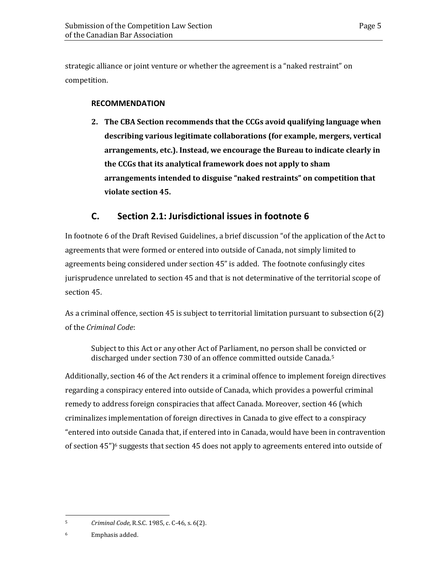strategic alliance or joint venture or whether the agreement is a "naked restraint" on competition.

#### **RECOMMENDATION**

**2. The CBA Section recommends that the CCGs avoid qualifying language when describing various legitimate collaborations (for example, mergers, vertical arrangements, etc.). Instead, we encourage the Bureau to indicate clearly in the CCGs that its analytical framework does not apply to sham arrangements intended to disguise "naked restraints" on competition that violate section 45.** 

## **C. Section 2.1: Jurisdictional issues in footnote 6**

<span id="page-8-0"></span>In footnote 6 of the Draft Revised Guidelines, a brief discussion "of the application of the Act to agreements that were formed or entered into outside of Canada, not simply limited to agreements being considered under section 45" is added. The footnote confusingly cites jurisprudence unrelated to section 45 and that is not determinative of the territorial scope of section 45.

As a criminal offence, section 45 is subject to territorial limitation pursuant to subsection 6(2) of the *Criminal Code*:

Subject to this Act or any other Act of Parliament, no person shall be convicted or discharged under section 730 of an offence committed outside Canada.<sup>5</sup>

Additionally, section 46 of the Act renders it a criminal offence to implement foreign directives regarding a conspiracy entered into outside of Canada, which provides a powerful criminal remedy to address foreign conspiracies that affect Canada. Moreover, section 46 (which criminalizes implementation of foreign directives in Canada to give effect to a conspiracy "entered into outside Canada that, if entered into in Canada, would have been in contravention of section  $45$ ")<sup>6</sup> suggests that section  $45$  does not apply to agreements entered into outside of

<sup>6</sup> Emphasis added.

<sup>5</sup> *Criminal Code*, R.S.C. 1985, c. C-46, s. 6(2).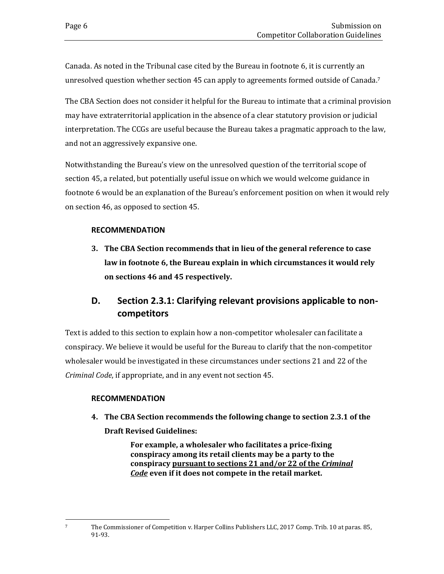Canada. As noted in the Tribunal case cited by the Bureau in footnote 6, it is currently an unresolved question whether section 45 can apply to agreements formed outside of Canada.<sup>7</sup>

The CBA Section does not consider it helpful for the Bureau to intimate that a criminal provision may have extraterritorial application in the absence of a clear statutory provision or judicial interpretation. The CCGs are useful because the Bureau takes a pragmatic approach to the law, and not an aggressively expansive one.

Notwithstanding the Bureau's view on the unresolved question of the territorial scope of section 45, a related, but potentially useful issue on which we would welcome guidance in footnote 6 would be an explanation of the Bureau's enforcement position on when it would rely on section 46, as opposed to section 45.

#### **RECOMMENDATION**

**3. The CBA Section recommends that in lieu of the general reference to case law in footnote 6, the Bureau explain in which circumstances it would rely on sections 46 and 45 respectively.** 

# <span id="page-9-0"></span>**D. Section 2.3.1: Clarifying relevant provisions applicable to noncompetitors**

Text is added to this section to explain how a non-competitor wholesaler can facilitate a conspiracy. We believe it would be useful for the Bureau to clarify that the non-competitor wholesaler would be investigated in these circumstances under sections 21 and 22 of the *Criminal Code*, if appropriate, and in any event not section 45.

#### **RECOMMENDATION**

**4. The CBA Section recommends the following change to section 2.3.1 of the Draft Revised Guidelines:**

> **For example, a wholesaler who facilitates a price-fixing conspiracy among its retail clients may be a party to the conspiracy pursuant to sections 21 and/or 22 of the** *Criminal Code* **even if it does not compete in the retail market.**

<sup>7</sup> The Commissioner of Competition v. Harper Collins Publishers LLC, 2017 Comp. Trib. 10 at paras. 85, 91-93.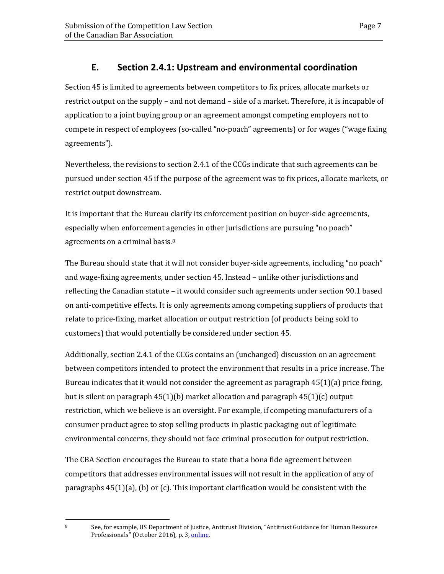# **E. Section 2.4.1: Upstream and environmental coordination**

<span id="page-10-0"></span>Section 45 is limited to agreements between competitors to fix prices, allocate markets or restrict output on the supply – and not demand – side of a market. Therefore, it is incapable of application to a joint buying group or an agreement amongst competing employers not to compete in respect of employees (so-called "no-poach" agreements) or for wages ("wage fixing agreements").

Nevertheless, the revisions to section 2.4.1 of the CCGs indicate that such agreements can be pursued under section 45 if the purpose of the agreement was to fix prices, allocate markets, or restrict output downstream.

It is important that the Bureau clarify its enforcement position on buyer-side agreements, especially when enforcement agencies in other jurisdictions are pursuing "no poach" agreements on a criminal basis.<sup>8</sup>

The Bureau should state that it will not consider buyer-side agreements, including "no poach" and wage-fixing agreements, under section 45. Instead – unlike other jurisdictions and reflecting the Canadian statute – it would consider such agreements under section 90.1 based on anti-competitive effects. It is only agreements among competing suppliers of products that relate to price-fixing, market allocation or output restriction (of products being sold to customers) that would potentially be considered under section 45.

Additionally, section 2.4.1 of the CCGs contains an (unchanged) discussion on an agreement between competitors intended to protect the environment that results in a price increase. The Bureau indicates that it would not consider the agreement as paragraph  $45(1)(a)$  price fixing, but is silent on paragraph  $45(1)(b)$  market allocation and paragraph  $45(1)(c)$  output restriction, which we believe is an oversight. For example, if competing manufacturers of a consumer product agree to stop selling products in plastic packaging out of legitimate environmental concerns, they should not face criminal prosecution for output restriction.

The CBA Section encourages the Bureau to state that a bona fide agreement between competitors that addresses environmental issues will not result in the application of any of paragraphs  $45(1)(a)$ , (b) or (c). This important clarification would be consistent with the

<sup>8</sup> See, for example, US Department of Justice, Antitrust Division, "Antitrust Guidance for Human Resource Professionals" (October 2016), p. 3, [online.](https://www.justice.gov/atr/file/903511/download)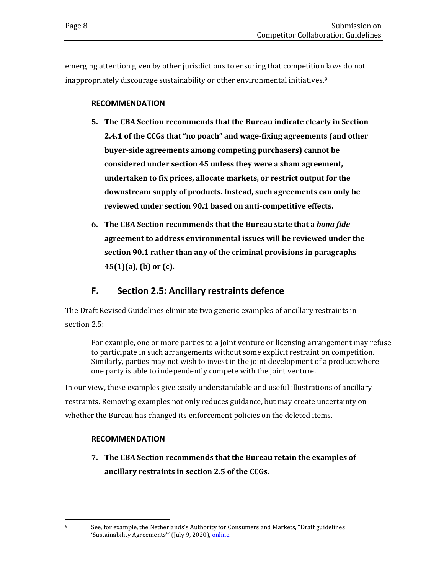emerging attention given by other jurisdictions to ensuring that competition laws do not inappropriately discourage sustainability or other environmental initiatives.<sup>9</sup>

#### **RECOMMENDATION**

- **5. The CBA Section recommends that the Bureau indicate clearly in Section 2.4.1 of the CCGs that "no poach" and wage-fixing agreements (and other buyer-side agreements among competing purchasers) cannot be considered under section 45 unless they were a sham agreement, undertaken to fix prices, allocate markets, or restrict output for the downstream supply of products. Instead, such agreements can only be reviewed under section 90.1 based on anti-competitive effects.**
- **6. The CBA Section recommends that the Bureau state that a** *bona fide* **agreement to address environmental issues will be reviewed under the section 90.1 rather than any of the criminal provisions in paragraphs 45(1)(a), (b) or (c).**

## **F. Section 2.5: Ancillary restraints defence**

<span id="page-11-0"></span>The Draft Revised Guidelines eliminate two generic examples of ancillary restraints in section 2.5:

For example, one or more parties to a joint venture or licensing arrangement may refuse to participate in such arrangements without some explicit restraint on competition. Similarly, parties may not wish to invest in the joint development of a product where one party is able to independently compete with the joint venture.

In our view, these examples give easily understandable and useful illustrations of ancillary restraints. Removing examples not only reduces guidance, but may create uncertainty on whether the Bureau has changed its enforcement policies on the deleted items.

### **RECOMMENDATION**

**7. The CBA Section recommends that the Bureau retain the examples of ancillary restraints in section 2.5 of the CCGs.**

<sup>9</sup> See, for example, the Netherlands's Authority for Consumers and Markets, "Draft guidelines 'Sustainability Agreements'" (July 9, 2020), [online.](https://www.acm.nl/en/publications/draft-guidelines-sustainability-agreements)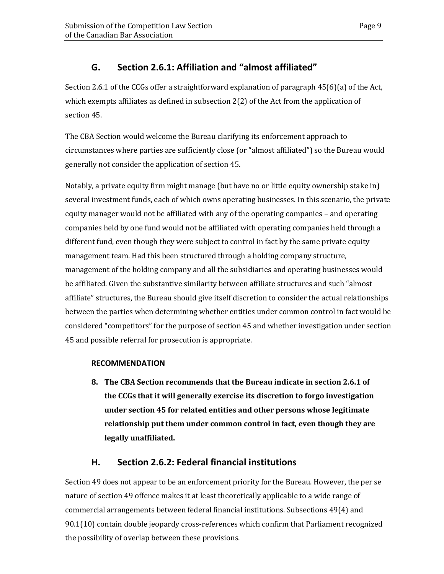<span id="page-12-0"></span>Section 2.6.1 of the CCGs offer a straightforward explanation of paragraph 45(6)(a) of the Act, which exempts affiliates as defined in subsection 2(2) of the Act from the application of section 45.

The CBA Section would welcome the Bureau clarifying its enforcement approach to circumstances where parties are sufficiently close (or "almost affiliated") so the Bureau would generally not consider the application of section 45.

Notably, a private equity firm might manage (but have no or little equity ownership stake in) several investment funds, each of which owns operating businesses. In this scenario, the private equity manager would not be affiliated with any of the operating companies – and operating companies held by one fund would not be affiliated with operating companies held through a different fund, even though they were subject to control in fact by the same private equity management team. Had this been structured through a holding company structure, management of the holding company and all the subsidiaries and operating businesses would be affiliated. Given the substantive similarity between affiliate structures and such "almost affiliate" structures, the Bureau should give itself discretion to consider the actual relationships between the parties when determining whether entities under common control in fact would be considered "competitors" for the purpose of section 45 and whether investigation under section 45 and possible referral for prosecution is appropriate.

### **RECOMMENDATION**

**8. The CBA Section recommends that the Bureau indicate in section 2.6.1 of the CCGs that it will generally exercise its discretion to forgo investigation under section 45 for related entities and other persons whose legitimate relationship put them under common control in fact, even though they are legally unaffiliated.**

## **H. Section 2.6.2: Federal financial institutions**

<span id="page-12-1"></span>Section 49 does not appear to be an enforcement priority for the Bureau. However, the per se nature of section 49 offence makes it at least theoretically applicable to a wide range of commercial arrangements between federal financial institutions. Subsections 49(4) and 90.1(10) contain double jeopardy cross-references which confirm that Parliament recognized the possibility of overlap between these provisions.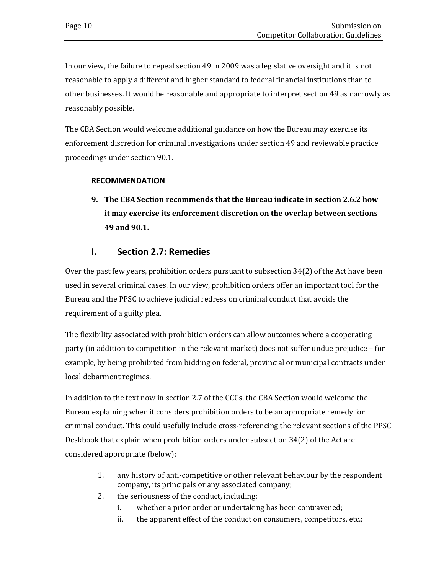In our view, the failure to repeal section 49 in 2009 was a legislative oversight and it is not reasonable to apply a different and higher standard to federal financial institutions than to other businesses. It would be reasonable and appropriate to interpret section 49 as narrowly as reasonably possible.

The CBA Section would welcome additional guidance on how the Bureau may exercise its enforcement discretion for criminal investigations under section 49 and reviewable practice proceedings under section 90.1.

#### **RECOMMENDATION**

**9. The CBA Section recommends that the Bureau indicate in section 2.6.2 how it may exercise its enforcement discretion on the overlap between sections 49 and 90.1.**

## **I. Section 2.7: Remedies**

<span id="page-13-0"></span>Over the past few years, prohibition orders pursuant to subsection 34(2) of the Act have been used in several criminal cases. In our view, prohibition orders offer an important tool for the Bureau and the PPSC to achieve judicial redress on criminal conduct that avoids the requirement of a guilty plea.

The flexibility associated with prohibition orders can allow outcomes where a cooperating party (in addition to competition in the relevant market) does not suffer undue prejudice – for example, by being prohibited from bidding on federal, provincial or municipal contracts under local debarment regimes.

In addition to the text now in section 2.7 of the CCGs, the CBA Section would welcome the Bureau explaining when it considers prohibition orders to be an appropriate remedy for criminal conduct. This could usefully include cross-referencing the relevant sections of the PPSC Deskbook that explain when prohibition orders under subsection 34(2) of the Act are considered appropriate (below):

- 1. any history of anti-competitive or other relevant behaviour by the respondent company, its principals or any associated company;
- 2. the seriousness of the conduct, including:
	- i. whether a prior order or undertaking has been contravened;
	- ii. the apparent effect of the conduct on consumers, competitors, etc.;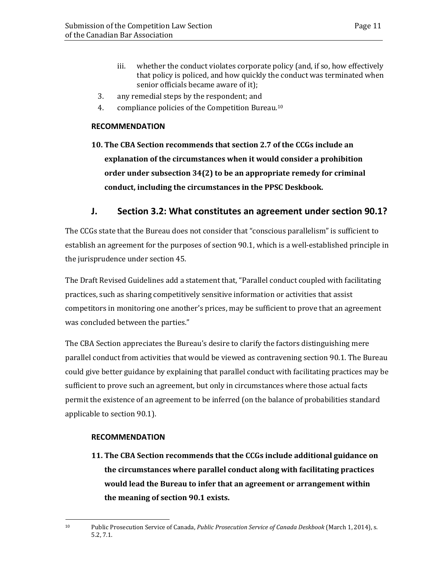- iii. whether the conduct violates corporate policy (and, if so, how effectively that policy is policed, and how quickly the conduct was terminated when senior officials became aware of it);
- 3. any remedial steps by the respondent; and
- 4. compliance policies of the Competition Bureau.<sup>10</sup>

#### **RECOMMENDATION**

**10. The CBA Section recommends that section 2.7 of the CCGs include an explanation of the circumstances when it would consider a prohibition order under subsection 34(2) to be an appropriate remedy for criminal conduct, including the circumstances in the PPSC Deskbook.** 

### **J. Section 3.2: What constitutes an agreement under section 90.1?**

<span id="page-14-0"></span>The CCGs state that the Bureau does not consider that "conscious parallelism" is sufficient to establish an agreement for the purposes of section 90.1, which is a well-established principle in the jurisprudence under section 45.

The Draft Revised Guidelines add a statement that, "Parallel conduct coupled with facilitating practices, such as sharing competitively sensitive information or activities that assist competitors in monitoring one another's prices, may be sufficient to prove that an agreement was concluded between the parties."

The CBA Section appreciates the Bureau's desire to clarify the factors distinguishing mere parallel conduct from activities that would be viewed as contravening section 90.1. The Bureau could give better guidance by explaining that parallel conduct with facilitating practices may be sufficient to prove such an agreement, but only in circumstances where those actual facts permit the existence of an agreement to be inferred (on the balance of probabilities standard applicable to section 90.1).

#### **RECOMMENDATION**

**11. The CBA Section recommends that the CCGs include additional guidance on the circumstances where parallel conduct along with facilitating practices would lead the Bureau to infer that an agreement or arrangement within the meaning of section 90.1 exists.**

<sup>10</sup> Public Prosecution Service of Canada, *Public Prosecution Service of Canada Deskbook* (March 1, 2014), s. 5.2, 7.1.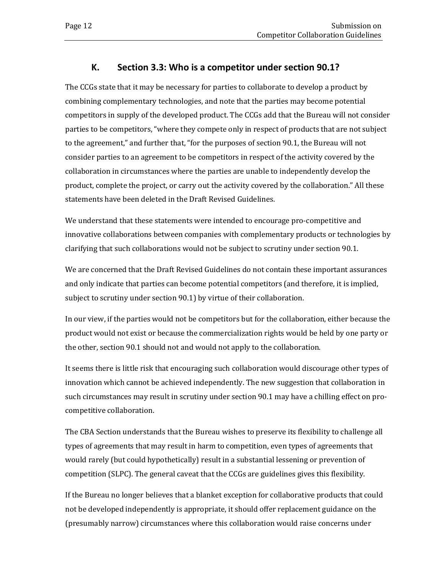## **K. Section 3.3: Who is a competitor under section 90.1?**

<span id="page-15-0"></span>The CCGs state that it may be necessary for parties to collaborate to develop a product by combining complementary technologies, and note that the parties may become potential competitors in supply of the developed product. The CCGs add that the Bureau will not consider parties to be competitors, "where they compete only in respect of products that are not subject to the agreement," and further that, "for the purposes of section 90.1, the Bureau will not consider parties to an agreement to be competitors in respect of the activity covered by the collaboration in circumstances where the parties are unable to independently develop the product, complete the project, or carry out the activity covered by the collaboration." All these statements have been deleted in the Draft Revised Guidelines.

We understand that these statements were intended to encourage pro-competitive and innovative collaborations between companies with complementary products or technologies by clarifying that such collaborations would not be subject to scrutiny under section 90.1.

We are concerned that the Draft Revised Guidelines do not contain these important assurances and only indicate that parties can become potential competitors (and therefore, it is implied, subject to scrutiny under section 90.1) by virtue of their collaboration.

In our view, if the parties would not be competitors but for the collaboration, either because the product would not exist or because the commercialization rights would be held by one party or the other, section 90.1 should not and would not apply to the collaboration.

It seems there is little risk that encouraging such collaboration would discourage other types of innovation which cannot be achieved independently. The new suggestion that collaboration in such circumstances may result in scrutiny under section 90.1 may have a chilling effect on procompetitive collaboration.

The CBA Section understands that the Bureau wishes to preserve its flexibility to challenge all types of agreements that may result in harm to competition, even types of agreements that would rarely (but could hypothetically) result in a substantial lessening or prevention of competition (SLPC). The general caveat that the CCGs are guidelines gives this flexibility.

If the Bureau no longer believes that a blanket exception for collaborative products that could not be developed independently is appropriate, it should offer replacement guidance on the (presumably narrow) circumstances where this collaboration would raise concerns under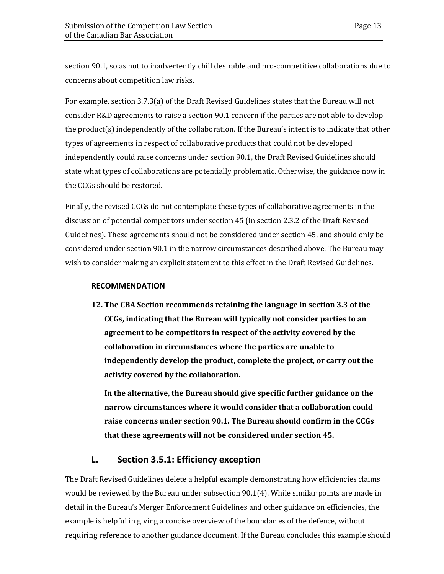section 90.1, so as not to inadvertently chill desirable and pro-competitive collaborations due to concerns about competition law risks.

For example, section 3.7.3(a) of the Draft Revised Guidelines states that the Bureau will not consider R&D agreements to raise a section 90.1 concern if the parties are not able to develop the product(s) independently of the collaboration. If the Bureau's intent is to indicate that other types of agreements in respect of collaborative products that could not be developed independently could raise concerns under section 90.1, the Draft Revised Guidelines should state what types of collaborations are potentially problematic. Otherwise, the guidance now in the CCGs should be restored.

Finally, the revised CCGs do not contemplate these types of collaborative agreements in the discussion of potential competitors under section 45 (in section 2.3.2 of the Draft Revised Guidelines). These agreements should not be considered under section 45, and should only be considered under section 90.1 in the narrow circumstances described above. The Bureau may wish to consider making an explicit statement to this effect in the Draft Revised Guidelines.

#### **RECOMMENDATION**

**12. The CBA Section recommends retaining the language in section 3.3 of the CCGs, indicating that the Bureau will typically not consider parties to an agreement to be competitors in respect of the activity covered by the collaboration in circumstances where the parties are unable to independently develop the product, complete the project, or carry out the activity covered by the collaboration.** 

**In the alternative, the Bureau should give specific further guidance on the narrow circumstances where it would consider that a collaboration could raise concerns under section 90.1. The Bureau should confirm in the CCGs that these agreements will not be considered under section 45.**

### **L. Section 3.5.1: Efficiency exception**

<span id="page-16-0"></span>The Draft Revised Guidelines delete a helpful example demonstrating how efficiencies claims would be reviewed by the Bureau under subsection 90.1(4). While similar points are made in detail in the Bureau's Merger Enforcement Guidelines and other guidance on efficiencies, the example is helpful in giving a concise overview of the boundaries of the defence, without requiring reference to another guidance document. If the Bureau concludes this example should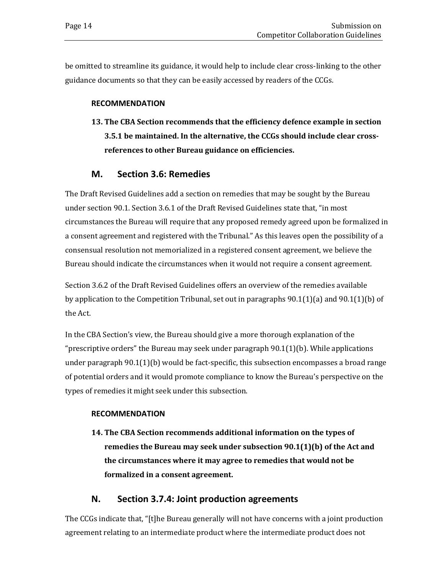be omitted to streamline its guidance, it would help to include clear cross-linking to the other guidance documents so that they can be easily accessed by readers of the CCGs.

#### **RECOMMENDATION**

**13. The CBA Section recommends that the efficiency defence example in section 3.5.1 be maintained. In the alternative, the CCGs should include clear crossreferences to other Bureau guidance on efficiencies.**

## **M. Section 3.6: Remedies**

<span id="page-17-0"></span>The Draft Revised Guidelines add a section on remedies that may be sought by the Bureau under section 90.1. Section 3.6.1 of the Draft Revised Guidelines state that, "in most circumstances the Bureau will require that any proposed remedy agreed upon be formalized in a consent agreement and registered with the Tribunal." As this leaves open the possibility of a consensual resolution not memorialized in a registered consent agreement, we believe the Bureau should indicate the circumstances when it would not require a consent agreement.

Section 3.6.2 of the Draft Revised Guidelines offers an overview of the remedies available by application to the Competition Tribunal, set out in paragraphs 90.1(1)(a) and 90.1(1)(b) of the Act.

In the CBA Section's view, the Bureau should give a more thorough explanation of the "prescriptive orders" the Bureau may seek under paragraph 90.1(1)(b). While applications under paragraph 90.1(1)(b) would be fact-specific, this subsection encompasses a broad range of potential orders and it would promote compliance to know the Bureau's perspective on the types of remedies it might seek under this subsection.

#### **RECOMMENDATION**

**14. The CBA Section recommends additional information on the types of remedies the Bureau may seek under subsection 90.1(1)(b) of the Act and the circumstances where it may agree to remedies that would not be formalized in a consent agreement.**

## **N. Section 3.7.4: Joint production agreements**

<span id="page-17-1"></span>The CCGs indicate that, "[t]he Bureau generally will not have concerns with a joint production agreement relating to an intermediate product where the intermediate product does not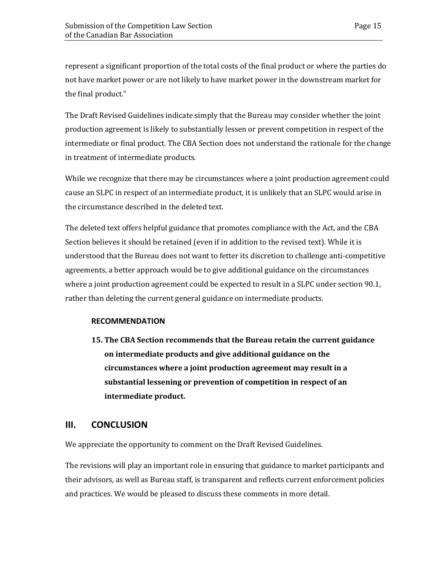represent a significant proportion of the total costs of the final product or where the parties do not have market power or are not likely to have market power in the downstream market for the final product."

The Draft Revised Guidelines indicate simply that the Bureau may consider whether the joint production agreement is likely to substantially lessen or prevent competition in respect of the intermediate or final product. The CBA Section does not understand the rationale for the change in treatment of intermediate products.

While we recognize that there may be circumstances where a joint production agreement could cause an SLPC in respect of an intermediate product, it is unlikely that an SLPC would arise in the circumstance described in the deleted text.

The deleted text offers helpful guidance that promotes compliance with the Act, and the CBA Section believes it should be retained (even if in addition to the revised text). While it is understood that the Bureau does not want to fetter its discretion to challenge anti-competitive agreements, a better approach would be to give additional guidance on the circumstances where a joint production agreement could be expected to result in a SLPC under section 90.1, rather than deleting the current general guidance on intermediate products.

#### **RECOMMENDATION**

**15. The CBA Section recommends that the Bureau retain the current guidance on intermediate products and give additional guidance on the circumstances where a joint production agreement may result in a substantial lessening or prevention of competition in respect of an intermediate product.**

## <span id="page-18-0"></span>**III. CONCLUSION**

We appreciate the opportunity to comment on the Draft Revised Guidelines.

The revisions will play an important role in ensuring that guidance to market participants and their advisors, as well as Bureau staff, is transparent and reflects current enforcement policies and practices. We would be pleased to discuss these comments in more detail.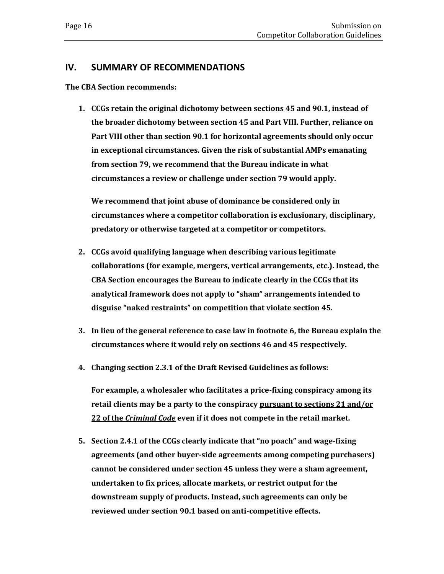#### <span id="page-19-0"></span>**IV. SUMMARY OF RECOMMENDATIONS**

**The CBA Section recommends:**

**1. CCGs retain the original dichotomy between sections 45 and 90.1, instead of the broader dichotomy between section 45 and Part VIII. Further, reliance on Part VIII other than section 90.1 for horizontal agreements should only occur in exceptional circumstances. Given the risk of substantial AMPs emanating from section 79, we recommend that the Bureau indicate in what circumstances a review or challenge under section 79 would apply.** 

**We recommend that joint abuse of dominance be considered only in circumstances where a competitor collaboration is exclusionary, disciplinary, predatory or otherwise targeted at a competitor or competitors.** 

- **2. CCGs avoid qualifying language when describing various legitimate collaborations (for example, mergers, vertical arrangements, etc.). Instead, the CBA Section encourages the Bureau to indicate clearly in the CCGs that its analytical framework does not apply to "sham" arrangements intended to disguise "naked restraints" on competition that violate section 45.**
- **3. In lieu of the general reference to case law in footnote 6, the Bureau explain the circumstances where it would rely on sections 46 and 45 respectively.**
- **4. Changing section 2.3.1 of the Draft Revised Guidelines as follows:**

**For example, a wholesaler who facilitates a price-fixing conspiracy among its retail clients may be a party to the conspiracy pursuant to sections 21 and/or 22 of the** *Criminal Code* **even if it does not compete in the retail market.**

**5. Section 2.4.1 of the CCGs clearly indicate that "no poach" and wage-fixing agreements (and other buyer-side agreements among competing purchasers) cannot be considered under section 45 unless they were a sham agreement, undertaken to fix prices, allocate markets, or restrict output for the downstream supply of products. Instead, such agreements can only be reviewed under section 90.1 based on anti-competitive effects.**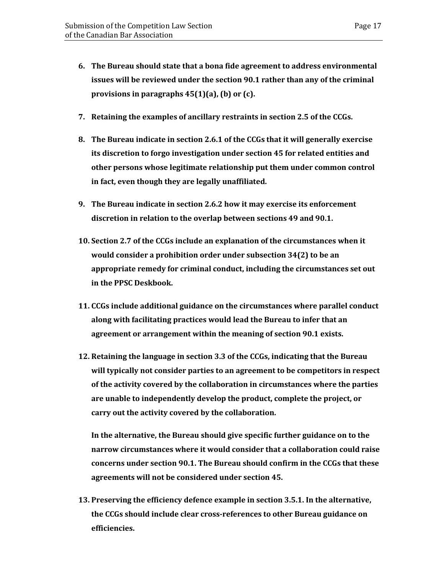- **6. The Bureau should state that a bona fide agreement to address environmental issues will be reviewed under the section 90.1 rather than any of the criminal provisions in paragraphs 45(1)(a), (b) or (c).**
- **7. Retaining the examples of ancillary restraints in section 2.5 of the CCGs.**
- **8. The Bureau indicate in section 2.6.1 of the CCGs that it will generally exercise its discretion to forgo investigation under section 45 for related entities and other persons whose legitimate relationship put them under common control in fact, even though they are legally unaffiliated.**
- **9. The Bureau indicate in section 2.6.2 how it may exercise its enforcement discretion in relation to the overlap between sections 49 and 90.1.**
- **10. Section 2.7 of the CCGs include an explanation of the circumstances when it would consider a prohibition order under subsection 34(2) to be an appropriate remedy for criminal conduct, including the circumstances set out in the PPSC Deskbook.**
- **11. CCGs include additional guidance on the circumstances where parallel conduct along with facilitating practices would lead the Bureau to infer that an agreement or arrangement within the meaning of section 90.1 exists.**
- **12. Retaining the language in section 3.3 of the CCGs, indicating that the Bureau will typically not consider parties to an agreement to be competitors in respect of the activity covered by the collaboration in circumstances where the parties are unable to independently develop the product, complete the project, or carry out the activity covered by the collaboration.**

**In the alternative, the Bureau should give specific further guidance on to the narrow circumstances where it would consider that a collaboration could raise concerns under section 90.1. The Bureau should confirm in the CCGs that these agreements will not be considered under section 45.**

**13. Preserving the efficiency defence example in section 3.5.1. In the alternative, the CCGs should include clear cross-references to other Bureau guidance on efficiencies.**